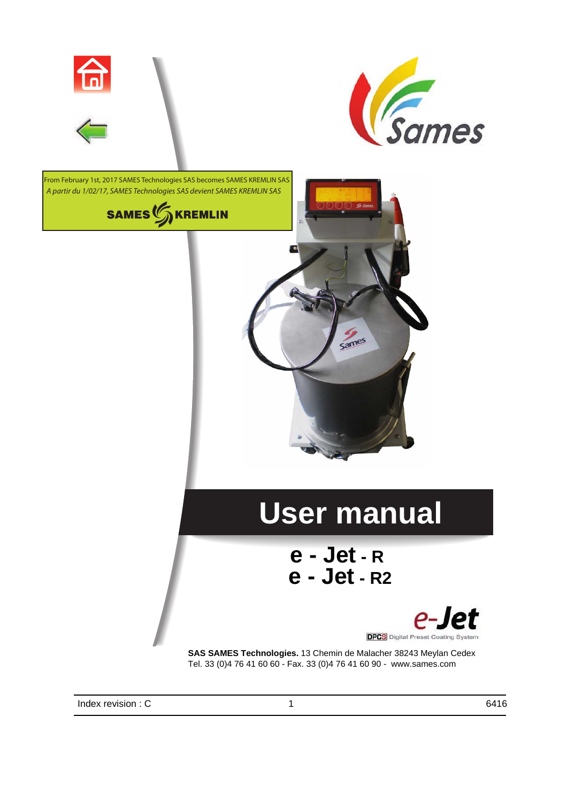



From February 1st, 2017 SAMES Technologies SAS becomes SAMES KREMLIN SAS *A partir du 1/02/17, SAMES Technologies SAS devient SAMES KREMLIN SAS*



## <span id="page-0-0"></span>**User manual**

Sames

## **e - Jet - R e - Jet - R2**



**SAS SAMES Technologies.** 13 Chemin de Malacher 38243 Meylan Cedex Tel. 33 (0)4 76 41 60 60 - Fax. 33 (0)4 76 41 60 90 - www.sames.com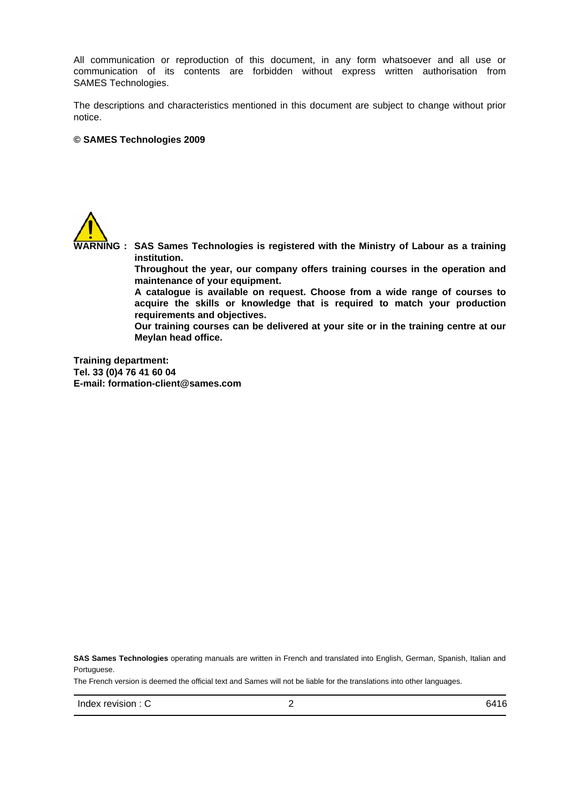All communication or reproduction of this document, in any form whatsoever and all use or communication of its contents are forbidden without express written authorisation from SAMES Technologies.

The descriptions and characteristics mentioned in this document are subject to change without prior notice.

#### **© SAMES Technologies 2009**



**WARNING : SAS Sames Technologies is registered with the Ministry of Labour as a training institution. Throughout the year, our company offers training courses in the operation and maintenance of your equipment. A catalogue is available on request. Choose from a wide range of courses to acquire the skills or knowledge that is required to match your production requirements and objectives. Our training courses can be delivered at your site or in the training centre at our Meylan head office. Training department:**

**Tel. 33 (0)4 76 41 60 04 E-mail: formation-client@sames.com**

**SAS Sames Technologies** operating manuals are written in French and translated into English, German, Spanish, Italian and Portuguese.

The French version is deemed the official text and Sames will not be liable for the translations into other languages.

 $Index$  revision : C  $2^{2}$  6416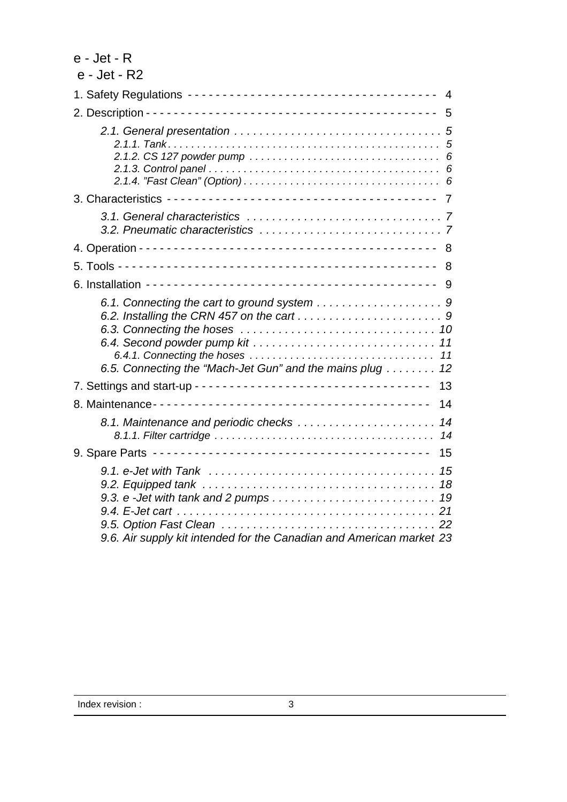| $e$ - Jet - $R$                                                                                                                                                                                |
|------------------------------------------------------------------------------------------------------------------------------------------------------------------------------------------------|
| e - Jet - R2                                                                                                                                                                                   |
| 4                                                                                                                                                                                              |
| 5                                                                                                                                                                                              |
|                                                                                                                                                                                                |
|                                                                                                                                                                                                |
|                                                                                                                                                                                                |
| 8                                                                                                                                                                                              |
| 8                                                                                                                                                                                              |
| 9                                                                                                                                                                                              |
| 11<br>11<br>6.5. Connecting the "Mach-Jet Gun" and the mains plug 12                                                                                                                           |
| 13                                                                                                                                                                                             |
| 14                                                                                                                                                                                             |
| 8.1. Maintenance and periodic checks<br>14<br>14                                                                                                                                               |
| 15                                                                                                                                                                                             |
| 9.1. e-Jet with Tank $\ldots \ldots \ldots \ldots \ldots \ldots \ldots \ldots \ldots \ldots \ldots$<br>-15<br>18<br>19<br>9.6. Air supply kit intended for the Canadian and American market 23 |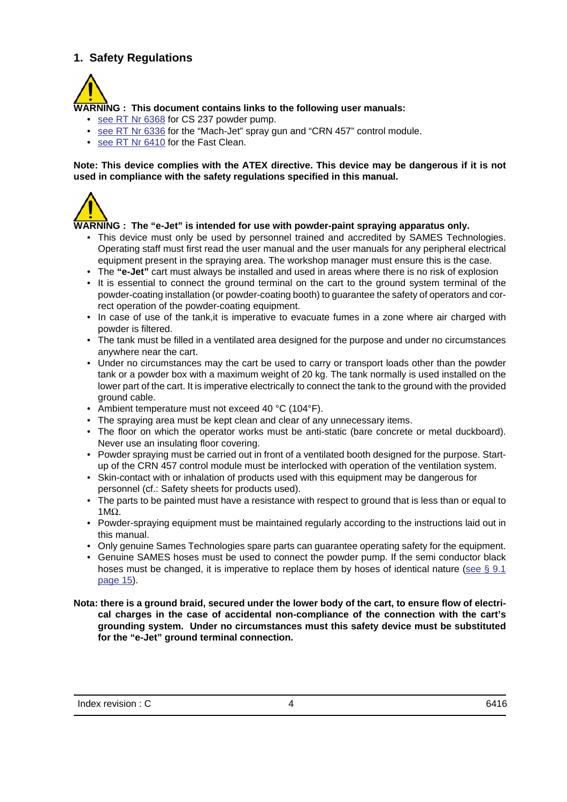## <span id="page-3-1"></span><span id="page-3-0"></span>**1. Safety Regulations**



## **WARNING : This document contains links to the following user manuals:**

- see RT Nr 6368 for CS 237 powder pump.
- see RT Nr 6336 for the "Mach-Jet" spray gun and "CRN 457" control module.
- see RT Nr 6410 for the Fast Clean.

#### **Note: This device complies with the ATEX directive. This device may be dangerous if it is not used in compliance with the safety regulations specified in this manual.**



#### **WARNING : The "e-Jet" is intended for use with powder-paint spraying apparatus only.**

- This device must only be used by personnel trained and accredited by SAMES Technologies. Operating staff must first read the user manual and the user manuals for any peripheral electrical equipment present in the spraying area. The workshop manager must ensure this is the case.
- The **"e-Jet"** cart must always be installed and used in areas where there is no risk of explosion
- It is essential to connect the ground terminal on the cart to the ground system terminal of the powder-coating installation (or powder-coating booth) to guarantee the safety of operators and correct operation of the powder-coating equipment.
- In case of use of the tank,it is imperative to evacuate fumes in a zone where air charged with powder is filtered.
- The tank must be filled in a ventilated area designed for the purpose and under no circumstances anywhere near the cart.
- Under no circumstances may the cart be used to carry or transport loads other than the powder tank or a powder box with a maximum weight of 20 kg. The tank normally is used installed on the lower part of the cart. It is imperative electrically to connect the tank to the ground with the provided ground cable.
- Ambient temperature must not exceed 40 °C (104°F).
- The spraying area must be kept clean and clear of any unnecessary items.
- The floor on which the operator works must be anti-static (bare concrete or metal duckboard). Never use an insulating floor covering.
- Powder spraying must be carried out in front of a ventilated booth designed for the purpose. Startup of the CRN 457 control module must be interlocked with operation of the ventilation system.
- Skin-contact with or inhalation of products used with this equipment may be dangerous for personnel (cf.: Safety sheets for products used).
- The parts to be painted must have a resistance with respect to ground that is less than or equal to 1MΩ.
- Powder-spraying equipment must be maintained regularly according to the instructions laid out in this manual.
- Only genuine Sames Technologies spare parts can guarantee operating safety for the equipment.
- Genuine SAMES hoses must be used to connect the powder pump. If the semi conductor black hoses must be changed, it is imperative to replace them by hoses of identical nature (see  $\S$  9.1 [page 15\)](#page-14-2).

#### **Nota: there is a ground braid, secured under the lower body of the cart, to ensure flow of electrical charges in the case of accidental non-compliance of the connection with the cart's grounding system. Under no circumstances must this safety device must be substituted for the "e-Jet" ground terminal connection.**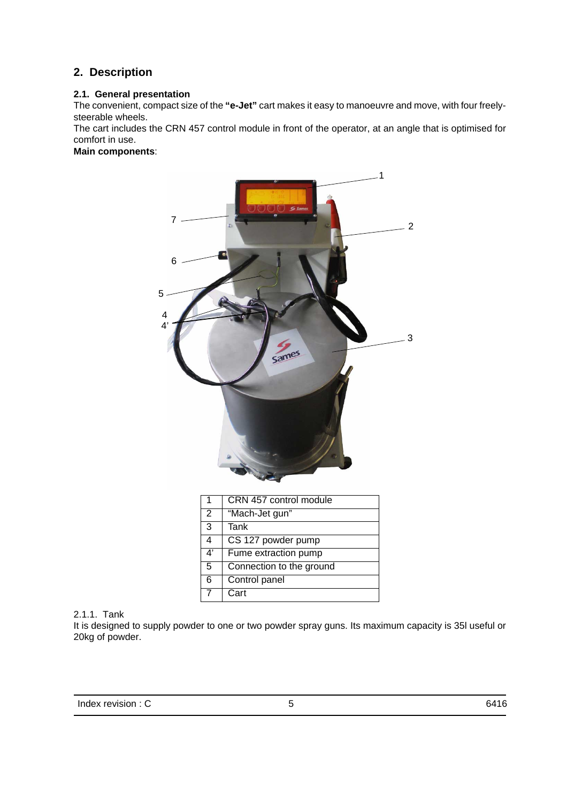## <span id="page-4-1"></span><span id="page-4-0"></span>**2. Description**

### **2.1. General presentation**

The convenient, compact size of the **"e-Jet"** cart makes it easy to manoeuvre and move, with four freelysteerable wheels.

The cart includes the CRN 457 control module in front of the operator, at an angle that is optimised for comfort in use.

**Main components**:



<span id="page-4-2"></span>

| 2.1.1. Tank |  |
|-------------|--|
|             |  |

It is designed to supply powder to one or two powder spray guns. Its maximum capacity is 35l useful or 20kg of powder.

6 Control panel

7 Cart

| Index revision : C |  | 6416 |
|--------------------|--|------|
|--------------------|--|------|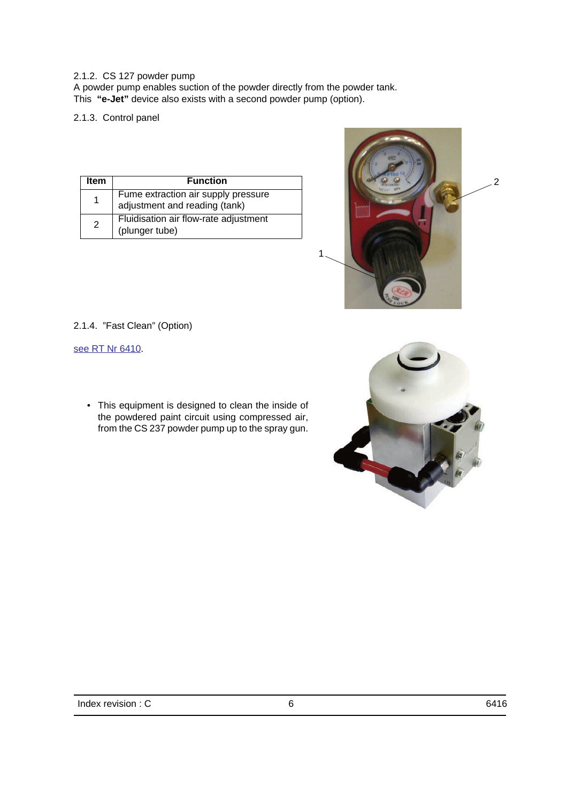#### <span id="page-5-1"></span><span id="page-5-0"></span>2.1.2. CS 127 powder pump

A powder pump enables suction of the powder directly from the powder tank. This **"e-Jet"** device also exists with a second powder pump (option).

2.1.3. Control panel

<span id="page-5-2"></span>

| Item | <b>Function</b>                                                      |
|------|----------------------------------------------------------------------|
| 1    | Fume extraction air supply pressure<br>adjustment and reading (tank) |
| 2    | Fluidisation air flow-rate adjustment<br>(plunger tube)              |



2.1.4. "Fast Clean" (Option)

see RT Nr 6410.

• This equipment is designed to clean the inside of the powdered paint circuit using compressed air, from the CS 237 powder pump up to the spray gun.

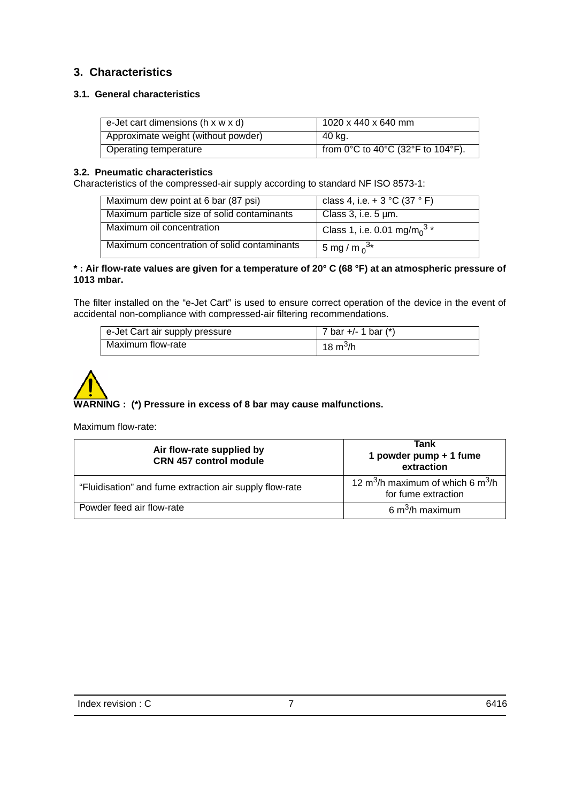## <span id="page-6-2"></span><span id="page-6-1"></span><span id="page-6-0"></span>**3. Characteristics**

## **3.1. General characteristics**

| e-Jet cart dimensions ( $h \times w \times d$ ) | 1020 x 440 x 640 mm               |
|-------------------------------------------------|-----------------------------------|
| Approximate weight (without powder)             | ີ 40 kg.                          |
| Operating temperature                           | from 0°C to 40°C (32°F to 104°F). |

#### **3.2. Pneumatic characteristics**

Characteristics of the compressed-air supply according to standard NF ISO 8573-1:

| Maximum dew point at 6 bar (87 psi)         | class 4, i.e. + 3 $^{\circ}$ C (37 $^{\circ}$ F)    |
|---------------------------------------------|-----------------------------------------------------|
| Maximum particle size of solid contaminants | Class 3, i.e. $5 \mu m$ .                           |
| Maximum oil concentration                   | Class 1, i.e. 0.01 mg/m <sub>0</sub> <sup>3</sup> * |
| Maximum concentration of solid contaminants | 5 mg / m $_0^{3*}$                                  |

#### **\* : Air flow-rate values are given for a temperature of 20° C (68 °F) at an atmospheric pressure of 1013 mbar.**

The filter installed on the "e-Jet Cart" is used to ensure correct operation of the device in the event of accidental non-compliance with compressed-air filtering recommendations.

| e-Jet Cart air supply pressure | 7 bar +/- 1 bar $(*)$  |
|--------------------------------|------------------------|
| Maximum flow-rate              | ່ 18 m <sup>3</sup> /h |

# **WARNING : (\*) Pressure in excess of 8 bar may cause malfunctions.**

#### Maximum flow-rate:

| Air flow-rate supplied by<br><b>CRN 457 control module</b> | Tank<br>1 powder pump + 1 fume<br>extraction                                     |  |  |
|------------------------------------------------------------|----------------------------------------------------------------------------------|--|--|
| "Fluidisation" and fume extraction air supply flow-rate    | 12 m <sup>3</sup> /h maximum of which 6 m <sup>3</sup> /h<br>for fume extraction |  |  |
| Powder feed air flow-rate                                  | 6 m <sup>3</sup> /h maximum                                                      |  |  |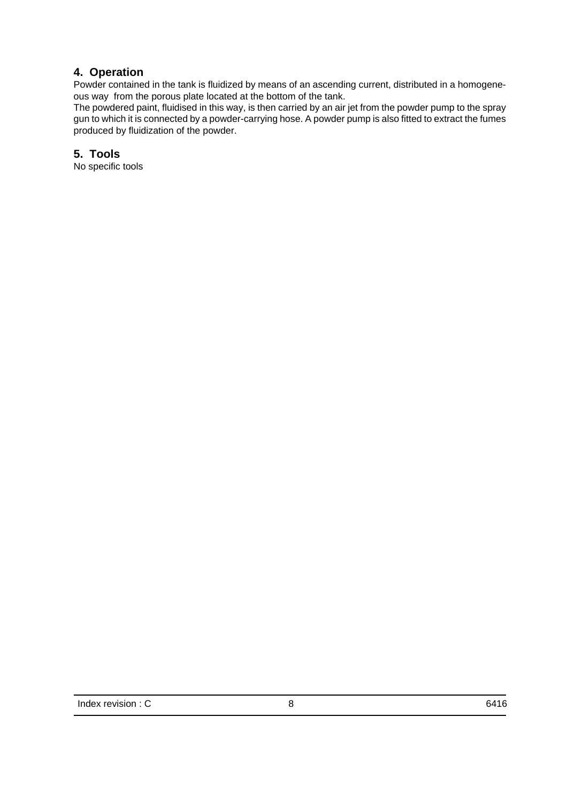## <span id="page-7-1"></span><span id="page-7-0"></span>**4. Operation**

Powder contained in the tank is fluidized by means of an ascending current, distributed in a homogeneous way from the porous plate located at the bottom of the tank.

The powdered paint, fluidised in this way, is then carried by an air jet from the powder pump to the spray gun to which it is connected by a powder-carrying hose. A powder pump is also fitted to extract the fumes produced by fluidization of the powder.

## **5. Tools**

No specific tools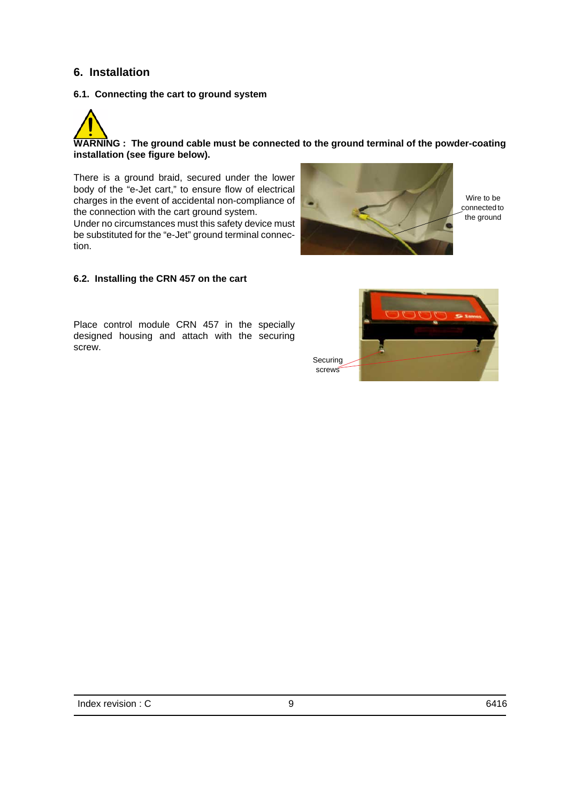## <span id="page-8-3"></span><span id="page-8-1"></span><span id="page-8-0"></span>**6. Installation**

tion.

#### **6.1. Connecting the cart to ground system**



<span id="page-8-2"></span>There is a ground braid, secured under the lower body of the "e-Jet cart," to ensure flow of electrical charges in the event of accidental non-compliance of the connection with the cart ground system. Under no circumstances must this safety device must be substituted for the "e-Jet" ground terminal connec-



Wire to be connected to the ground

#### **6.2. Installing the CRN 457 on the cart**

Place control module CRN 457 in the specially designed housing and attach with the securing screw.



Index revision : C 6416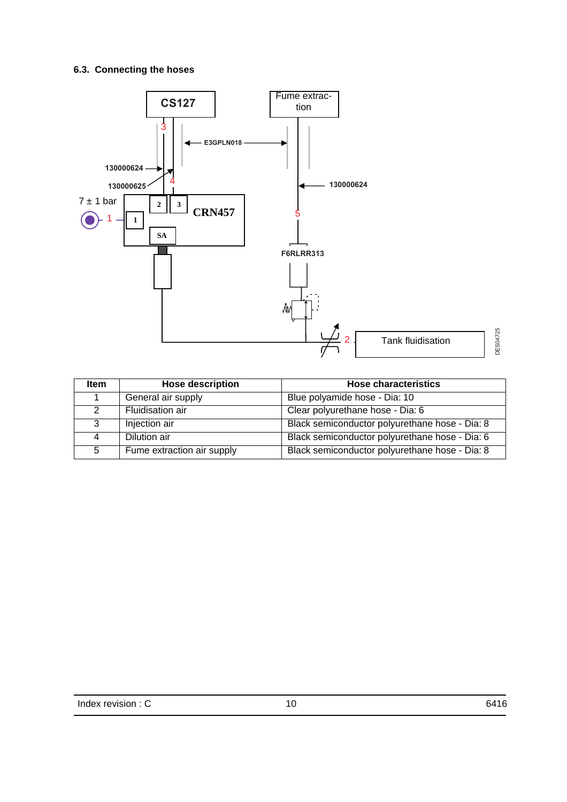## <span id="page-9-0"></span>**6.3. Connecting the hoses**



| <b>Item</b> | <b>Hose description</b>    | <b>Hose characteristics</b>                    |
|-------------|----------------------------|------------------------------------------------|
|             | General air supply         | Blue polyamide hose - Dia: 10                  |
|             | Fluidisation air           | Clear polyurethane hose - Dia: 6               |
| 3           | Injection air              | Black semiconductor polyurethane hose - Dia: 8 |
| 4           | Dilution air               | Black semiconductor polyurethane hose - Dia: 6 |
| 5           | Fume extraction air supply | Black semiconductor polyurethane hose - Dia: 8 |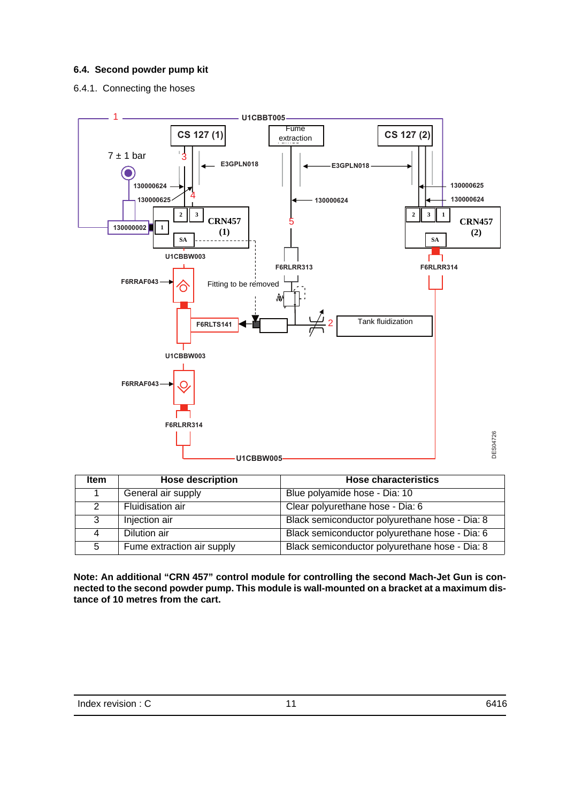## <span id="page-10-1"></span><span id="page-10-0"></span>**6.4. Second powder pump kit**

6.4.1. Connecting the hoses



| <b>Item</b> | <b>Hose description</b>    | <b>Hose characteristics</b>                    |  |  |
|-------------|----------------------------|------------------------------------------------|--|--|
|             | General air supply         | Blue polyamide hose - Dia: 10                  |  |  |
|             | Fluidisation air           | Clear polyurethane hose - Dia: 6               |  |  |
| 3           | Injection air              | Black semiconductor polyurethane hose - Dia: 8 |  |  |
|             | Dilution air               | Black semiconductor polyurethane hose - Dia: 6 |  |  |
| 5           | Fume extraction air supply | Black semiconductor polyurethane hose - Dia: 8 |  |  |

**Note: An additional "CRN 457" control module for controlling the second Mach-Jet Gun is connected to the second powder pump. This module is wall-mounted on a bracket at a maximum distance of 10 metres from the cart.**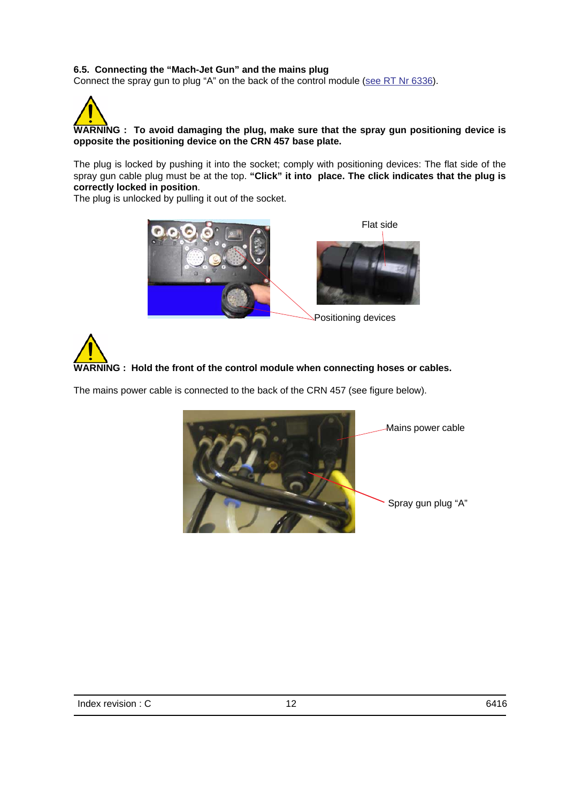## <span id="page-11-0"></span>**6.5. Connecting the "Mach-Jet Gun" and the mains plug**

Connect the spray gun to plug "A" on the back of the control module (see RT Nr 6336).



The plug is locked by pushing it into the socket; comply with positioning devices: The flat side of the spray gun cable plug must be at the top. **"Click" it into place. The click indicates that the plug is correctly locked in position**.

The plug is unlocked by pulling it out of the socket.





Positioning devices

## **WARNING : Hold the front of the control module when connecting hoses or cables.**

The mains power cable is connected to the back of the CRN 457 (see figure below).

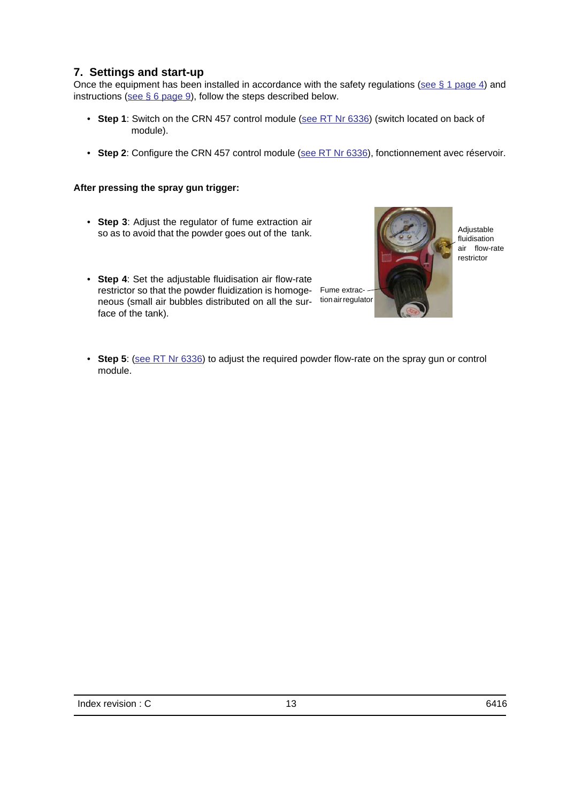## <span id="page-12-0"></span>**7. Settings and start-up**

Once the equipment has been installed in accordance with the safety regulations [\(see § 1 page 4\)](#page-3-1) and instructions ([see § 6 page 9](#page-8-3)), follow the steps described below.

- Step 1: Switch on the CRN 457 control module (see RT Nr 6336) (switch located on back of module).
- **Step 2**: Configure the CRN 457 control module (see RT Nr 6336), fonctionnement avec réservoir.

### **After pressing the spray gun trigger:**

- **Step 3**: Adjust the regulator of fume extraction air so as to avoid that the powder goes out of the tank.
- **Step 4**: Set the adjustable fluidisation air flow-rate restrictor so that the powder fluidization is homoge-Fume extracneous (small air bubbles distributed on all the sur- tion air regulator face of the tank).



Adjustable fluidisation air flow-rate restrictor

• Step 5: (see RT Nr 6336) to adjust the required powder flow-rate on the spray gun or control module.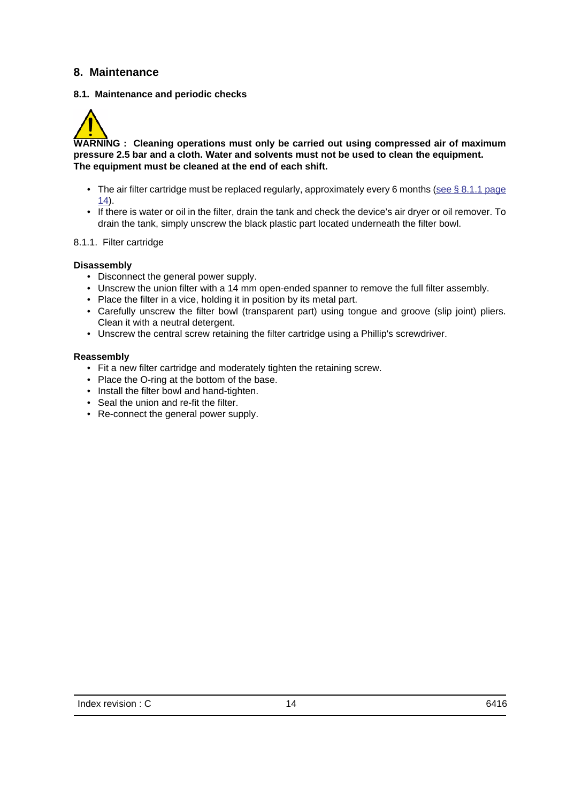## <span id="page-13-1"></span><span id="page-13-0"></span>**8. Maintenance**

### **8.1. Maintenance and periodic checks**

<span id="page-13-2"></span>

**WARNING : Cleaning operations must only be carried out using compressed air of maximum pressure 2.5 bar and a cloth. Water and solvents must not be used to clean the equipment. The equipment must be cleaned at the end of each shift.**

- The air filter cartridge must be replaced regularly, approximately every 6 months (see  $\S 8.1.1$  page [14\)](#page-13-3).
- If there is water or oil in the filter, drain the tank and check the device's air dryer or oil remover. To drain the tank, simply unscrew the black plastic part located underneath the filter bowl.

#### <span id="page-13-3"></span>8.1.1. Filter cartridge

#### **Disassembly**

- Disconnect the general power supply.
- Unscrew the union filter with a 14 mm open-ended spanner to remove the full filter assembly.
- Place the filter in a vice, holding it in position by its metal part.
- Carefully unscrew the filter bowl (transparent part) using tongue and groove (slip joint) pliers. Clean it with a neutral detergent.
- Unscrew the central screw retaining the filter cartridge using a Phillip's screwdriver.

#### **Reassembly**

- Fit a new filter cartridge and moderately tighten the retaining screw.
- Place the O-ring at the bottom of the base.
- Install the filter bowl and hand-tighten.
- Seal the union and re-fit the filter.
- Re-connect the general power supply.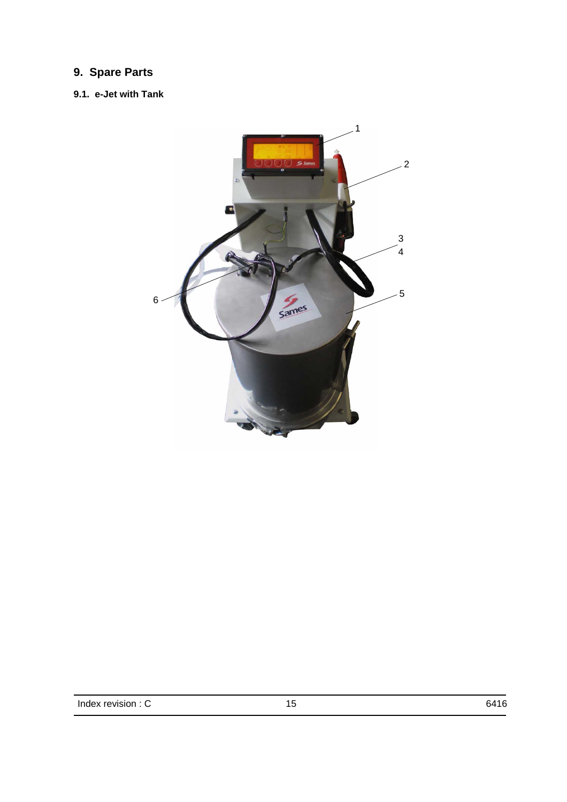## <span id="page-14-1"></span><span id="page-14-0"></span>**9. Spare Parts**

## <span id="page-14-2"></span>**9.1. e-Jet with Tank**

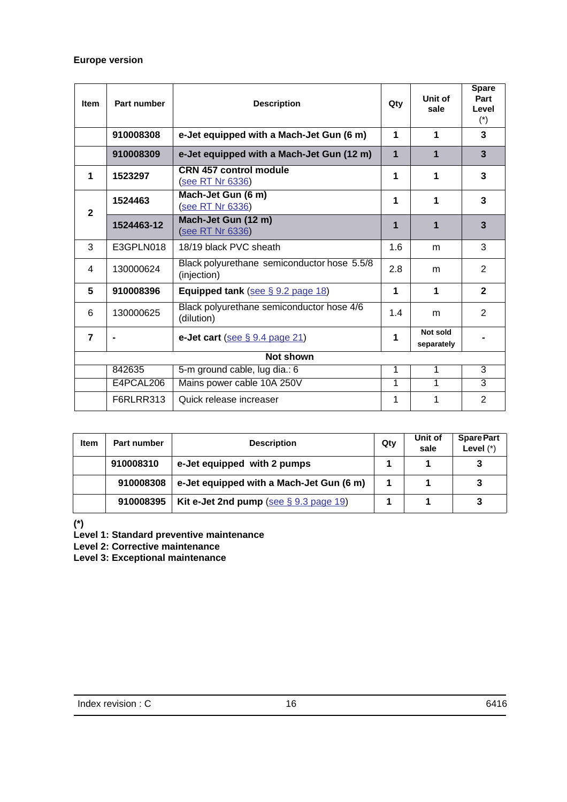## **Europe version**

| <b>Item</b>    | Part number | <b>Description</b>                                         | Qty         | Unit of<br>sale        | <b>Spare</b><br>Part<br>Level<br>$(*)$ |
|----------------|-------------|------------------------------------------------------------|-------------|------------------------|----------------------------------------|
|                | 910008308   | e-Jet equipped with a Mach-Jet Gun (6 m)                   | 1           | 1                      | 3                                      |
|                | 910008309   | e-Jet equipped with a Mach-Jet Gun (12 m)                  | $\mathbf 1$ | 1                      | 3                                      |
| 1              | 1523297     | <b>CRN 457 control module</b><br>(see RT Nr 6336)          | 1           | 1                      | 3                                      |
| $\mathbf{2}$   | 1524463     | Mach-Jet Gun (6 m)<br>(see RT Nr 6336)                     | 1           | 1                      | 3                                      |
|                | 1524463-12  | Mach-Jet Gun (12 m)<br>(see RT Nr 6336)                    | 1           | 1                      | 3                                      |
| 3              | E3GPLN018   | 18/19 black PVC sheath                                     | 1.6         | m                      | 3                                      |
| 4              | 130000624   | Black polyurethane semiconductor hose 5.5/8<br>(injection) | 2.8         | m                      | 2                                      |
| 5              | 910008396   | Equipped tank (see $\S$ 9.2 page 18)                       | 1           | 1                      | $\mathbf{2}$                           |
| 6              | 130000625   | Black polyurethane semiconductor hose 4/6<br>(dilution)    | 1.4         | m                      | $\overline{2}$                         |
| $\overline{7}$ |             | e-Jet cart (see $\S$ 9.4 page 21)                          | 1           | Not sold<br>separately |                                        |
|                | Not shown   |                                                            |             |                        |                                        |
|                | 842635      | 5-m ground cable, lug dia.: 6                              | 1           | 1                      | $\overline{3}$                         |
|                | E4PCAL206   | Mains power cable 10A 250V                                 | 1           | 1                      | $\overline{3}$                         |
|                | F6RLRR313   | Quick release increaser                                    | 1           | 1                      | 2                                      |

| <b>Item</b> | Part number | <b>Description</b>                        | Qty | Unit of<br>sale | <b>Spare Part</b><br>Level $(*)$ |
|-------------|-------------|-------------------------------------------|-----|-----------------|----------------------------------|
|             | 910008310   | e-Jet equipped with 2 pumps               |     |                 | 3                                |
|             | 910008308   | e-Jet equipped with a Mach-Jet Gun (6 m)  |     |                 | 3                                |
|             | 910008395   | Kit e-Jet 2nd pump (see $\S$ 9.3 page 19) |     |                 | 3                                |

**(\*)**

**Level 1: Standard preventive maintenance** 

**Level 2: Corrective maintenance**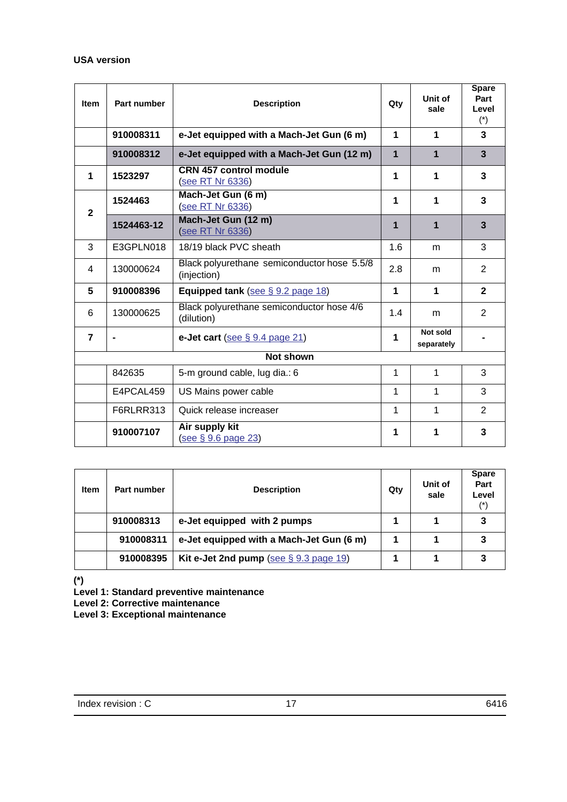## **USA version**

| <b>Item</b>      | Part number | <b>Description</b>                                         | Qty            | Unit of<br>sale        | <b>Spare</b><br>Part<br>Level<br>$(*)$ |
|------------------|-------------|------------------------------------------------------------|----------------|------------------------|----------------------------------------|
|                  | 910008311   | e-Jet equipped with a Mach-Jet Gun (6 m)                   | 1              | 1                      | 3                                      |
|                  | 910008312   | e-Jet equipped with a Mach-Jet Gun (12 m)                  | $\overline{1}$ | 1                      | $\overline{3}$                         |
| 1                | 1523297     | <b>CRN 457 control module</b><br>(see RT Nr 6336)          | 1              | 1                      | 3                                      |
| $\mathbf{2}$     | 1524463     | Mach-Jet Gun (6 m)<br>(see RT Nr 6336)                     | 1              | 1                      | 3                                      |
|                  | 1524463-12  | Mach-Jet Gun (12 m)<br>(see RT Nr 6336)                    | 1              | 1                      | 3                                      |
| 3                | E3GPLN018   | 18/19 black PVC sheath                                     | 1.6            | m                      | 3                                      |
| 4                | 130000624   | Black polyurethane semiconductor hose 5.5/8<br>(injection) | 2.8            | m                      | 2                                      |
| 5                | 910008396   | Equipped tank (see $\S$ 9.2 page 18)                       | 1              | 1                      | $\mathbf{2}$                           |
| 6                | 130000625   | Black polyurethane semiconductor hose 4/6<br>(dilution)    | 1.4            | m                      | 2                                      |
| $\overline{7}$   |             | e-Jet cart (see $\S$ 9.4 page 21)                          | 1              | Not sold<br>separately |                                        |
| <b>Not shown</b> |             |                                                            |                |                        |                                        |
|                  | 842635      | 5-m ground cable, lug dia.: 6                              | 1              | 1                      | 3                                      |
|                  | E4PCAL459   | US Mains power cable                                       | 1              | 1                      | 3                                      |
|                  | F6RLRR313   | Quick release increaser                                    | 1              | 1                      | $\overline{2}$                         |
|                  | 910007107   | Air supply kit<br>see § 9.6 page 23)                       | 1              | 1                      | 3                                      |

| <b>Item</b> | Part number | <b>Description</b>                        | Qty | Unit of<br>sale | <b>Spare</b><br>Part<br>Level<br>$(*)$ |
|-------------|-------------|-------------------------------------------|-----|-----------------|----------------------------------------|
|             | 910008313   | e-Jet equipped with 2 pumps               |     |                 | 3                                      |
|             | 910008311   | e-Jet equipped with a Mach-Jet Gun (6 m)  |     |                 | 3                                      |
|             | 910008395   | Kit e-Jet 2nd pump (see $\S$ 9.3 page 19) |     |                 | 3                                      |

**(\*)**

**Level 1: Standard preventive maintenance** 

**Level 2: Corrective maintenance**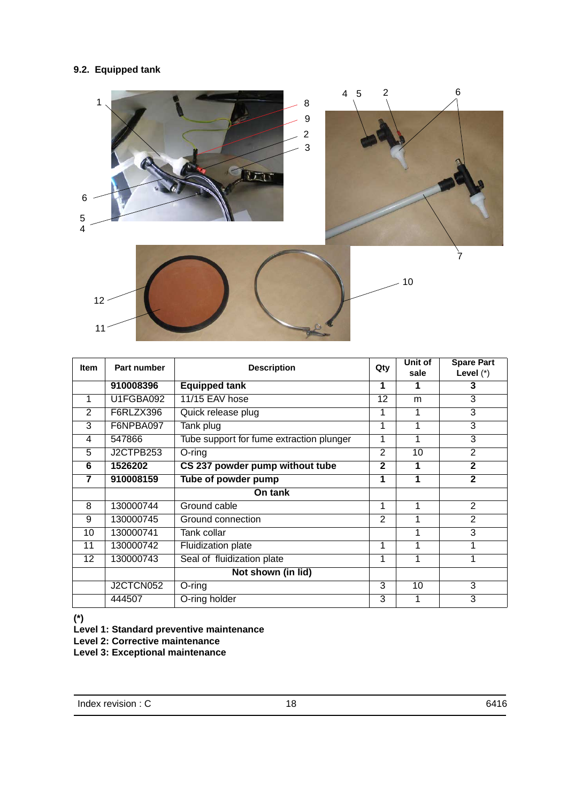## <span id="page-17-1"></span><span id="page-17-0"></span>**9.2. Equipped tank**



| <b>Item</b> | Part number | <b>Description</b>                       | Qty            | Unit of<br>sale | <b>Spare Part</b><br>Level $(*)$ |
|-------------|-------------|------------------------------------------|----------------|-----------------|----------------------------------|
|             | 910008396   | <b>Equipped tank</b>                     | 1              | 1               | 3                                |
| 1           | U1FGBA092   | 11/15 EAV hose                           | 12             | m               | 3                                |
| 2           | F6RLZX396   | Quick release plug                       | 1              |                 | 3                                |
| 3           | F6NPBA097   | Tank plug                                |                |                 | 3                                |
| 4           | 547866      | Tube support for fume extraction plunger | 1              | 1               | 3                                |
| 5           | J2CTPB253   | $O$ -ring                                | $\overline{2}$ | 10              | 2                                |
| 6           | 1526202     | CS 237 powder pump without tube          | $\mathbf{2}$   | 1               | $\mathbf{2}$                     |
| 7           | 910008159   | Tube of powder pump                      | 1              | 1               | $\mathbf{2}$                     |
|             |             | On tank                                  |                |                 |                                  |
| 8           | 130000744   | Ground cable                             | 1              | 1               | 2                                |
| 9           | 130000745   | Ground connection                        | $\mathfrak{p}$ | 1               | 2                                |
| 10          | 130000741   | Tank collar                              |                | 1               | 3                                |
| 11          | 130000742   | <b>Fluidization plate</b>                | 1              | 1               |                                  |
| 12          | 130000743   | Seal of fluidization plate               | 1              | 1               |                                  |
|             |             | Not shown (in lid)                       |                |                 |                                  |
|             | J2CTCN052   | O-ring                                   | 3              | 10              | 3                                |
|             | 444507      | O-ring holder                            | $\overline{3}$ | 1               | $\overline{3}$                   |

**(\*)**

**Level 1: Standard preventive maintenance** 

**Level 2: Corrective maintenance**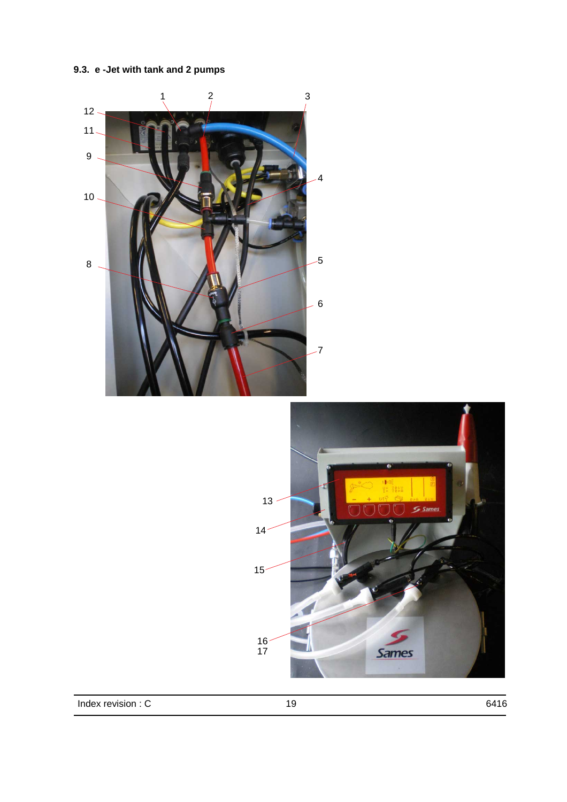<span id="page-18-1"></span><span id="page-18-0"></span>**9.3. e -Jet with tank and 2 pumps**

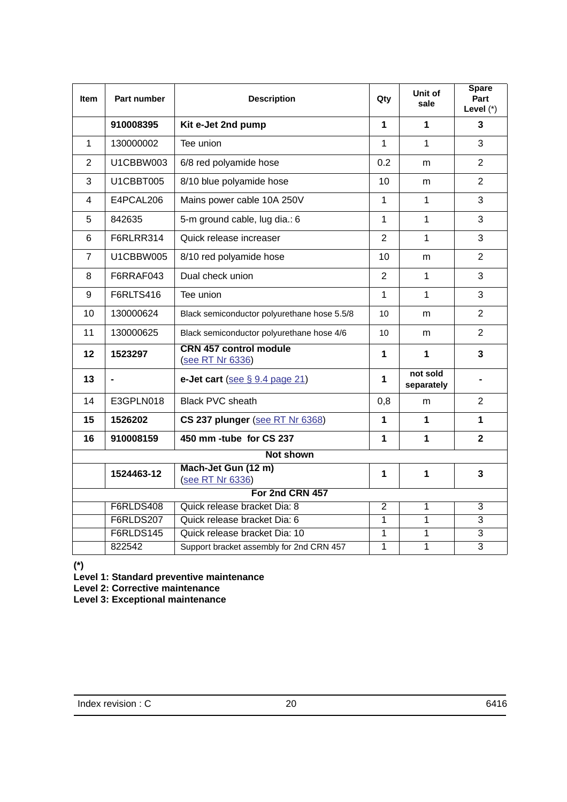| <b>Item</b>    | Part number      | <b>Description</b>                                | Qty             | Unit of<br>sale        | <b>Spare</b><br>Part<br>Level $(*)$ |  |
|----------------|------------------|---------------------------------------------------|-----------------|------------------------|-------------------------------------|--|
|                | 910008395        | Kit e-Jet 2nd pump                                | 1               | 1                      | 3                                   |  |
| 1              | 130000002        | Tee union                                         | $\mathbf{1}$    | $\mathbf{1}$           | 3                                   |  |
| 2              | U1CBBW003        | 6/8 red polyamide hose                            | 0.2             | m                      | $\overline{2}$                      |  |
| 3              | U1CBBT005        | 8/10 blue polyamide hose                          | 10              | m                      | $\overline{2}$                      |  |
| 4              | E4PCAL206        | Mains power cable 10A 250V                        | $\mathbf{1}$    | $\mathbf{1}$           | 3                                   |  |
| 5              | 842635           | 5-m ground cable, lug dia.: 6                     | $\mathbf{1}$    | $\mathbf{1}$           | 3                                   |  |
| 6              | F6RLRR314        | Quick release increaser                           | $\overline{2}$  | 1                      | 3                                   |  |
| $\overline{7}$ | U1CBBW005        | 8/10 red polyamide hose                           | 10              | m                      | $\overline{2}$                      |  |
| 8              | F6RRAF043        | Dual check union                                  | $\overline{2}$  | $\mathbf{1}$           | 3                                   |  |
| 9              | F6RLTS416        | Tee union                                         | $\mathbf{1}$    | $\mathbf{1}$           | 3                                   |  |
| 10             | 130000624        | Black semiconductor polyurethane hose 5.5/8       | 10              | m                      | $\overline{2}$                      |  |
| 11             | 130000625        | Black semiconductor polyurethane hose 4/6         | 10 <sup>1</sup> | m                      | $\overline{2}$                      |  |
| 12             | 1523297          | <b>CRN 457 control module</b><br>(see RT Nr 6336) | 1               | 1                      | 3                                   |  |
| 13             |                  | e-Jet cart (see $\S$ 9.4 page 21)                 | 1               | not sold<br>separately |                                     |  |
| 14             | E3GPLN018        | <b>Black PVC sheath</b>                           | 0,8             | m                      | $\overline{2}$                      |  |
| 15             | 1526202          | CS 237 plunger (see RT Nr 6368)                   | 1               | $\mathbf 1$            | 1                                   |  |
| 16             | 910008159        | 450 mm -tube for CS 237                           | 1               | 1                      | $\overline{2}$                      |  |
|                | <b>Not shown</b> |                                                   |                 |                        |                                     |  |
|                | 1524463-12       | Mach-Jet Gun (12 m)<br>(see RT Nr 6336)           | 1               | 1                      | 3                                   |  |
|                |                  | For 2nd CRN 457                                   |                 |                        |                                     |  |
|                | F6RLDS408        | Quick release bracket Dia: 8                      | $\overline{2}$  | 1                      | $\overline{3}$                      |  |
|                | F6RLDS207        | Quick release bracket Dia: 6                      | $\overline{1}$  | $\overline{1}$         | $\overline{3}$                      |  |
|                | <b>F6RLDS145</b> | Quick release bracket Dia: 10                     | $\overline{1}$  | $\overline{1}$         | $\overline{3}$                      |  |
|                | 822542           | Support bracket assembly for 2nd CRN 457          | $\overline{1}$  | $\overline{1}$         | $\overline{3}$                      |  |

**(\*)**

**Level 1: Standard preventive maintenance** 

**Level 2: Corrective maintenance**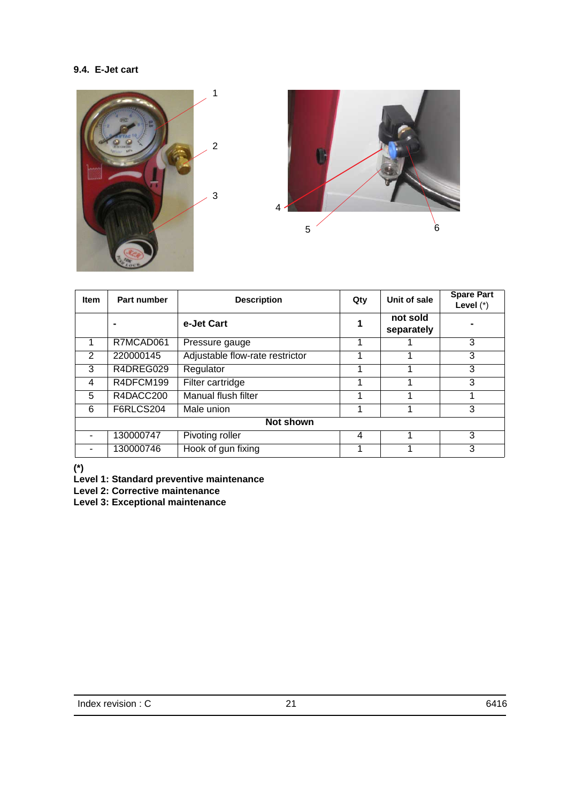## <span id="page-20-1"></span><span id="page-20-0"></span>**9.4. E-Jet cart**





| <b>Item</b>      | Part number | <b>Description</b>              | Qty | Unit of sale           | <b>Spare Part</b><br>Level $(*)$ |  |
|------------------|-------------|---------------------------------|-----|------------------------|----------------------------------|--|
|                  |             | e-Jet Cart                      |     | not sold<br>separately |                                  |  |
|                  | R7MCAD061   | Pressure gauge                  |     |                        | 3                                |  |
| 2                | 220000145   | Adjustable flow-rate restrictor |     |                        | 3                                |  |
| 3                | R4DREG029   | Regulator                       |     |                        | 3                                |  |
| 4                | R4DFCM199   | Filter cartridge                |     |                        | 3                                |  |
| 5                | R4DACC200   | Manual flush filter             |     |                        |                                  |  |
| 6                | F6RLCS204   | Male union                      |     |                        | 3                                |  |
| <b>Not shown</b> |             |                                 |     |                        |                                  |  |
|                  | 130000747   | Pivoting roller                 | 4   |                        | 3                                |  |
|                  | 130000746   | Hook of gun fixing              |     |                        | 3                                |  |

**(\*)**

**Level 1: Standard preventive maintenance** 

**Level 2: Corrective maintenance**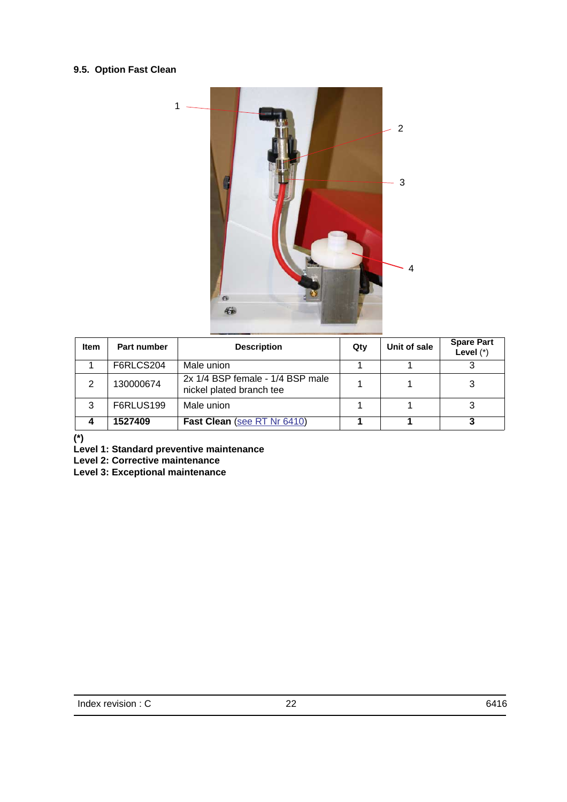## <span id="page-21-0"></span>**9.5. Option Fast Clean**



| <b>Item</b> | Part number | <b>Description</b>                                           | Qty | Unit of sale | <b>Spare Part</b><br>Level $(*)$ |
|-------------|-------------|--------------------------------------------------------------|-----|--------------|----------------------------------|
|             | F6RLCS204   | Male union                                                   |     |              |                                  |
|             | 130000674   | 2x 1/4 BSP female - 1/4 BSP male<br>nickel plated branch tee |     |              |                                  |
| 3           | F6RLUS199   | Male union                                                   |     |              |                                  |
| Δ           | 1527409     | Fast Clean (see RT Nr 6410)                                  |     |              |                                  |

**(\*)**

**Level 1: Standard preventive maintenance** 

**Level 2: Corrective maintenance**